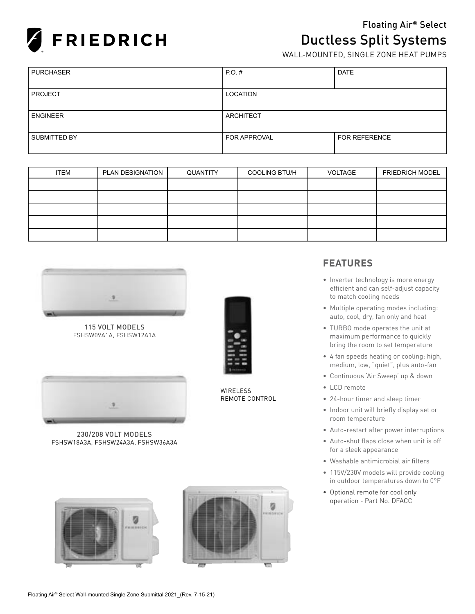

# Floating Air® Select **Ductless Split Systems**<br>WALL-MOUNTED, SINGLE ZONE HEAT PUMPS

| <b>PURCHASER</b> | $PO.$ #             | <b>DATE</b>          |
|------------------|---------------------|----------------------|
|                  |                     |                      |
| <b>PROJECT</b>   | <b>LOCATION</b>     |                      |
|                  |                     |                      |
| <b>ENGINEER</b>  | ARCHITECT           |                      |
|                  |                     |                      |
| SUBMITTED BY     | <b>FOR APPROVAL</b> | <b>FOR REFERENCE</b> |
|                  |                     |                      |

| <b>ITEM</b> | PLAN DESIGNATION | QUANTITY | <b>COOLING BTU/H</b> | <b>VOLTAGE</b> | <b>FRIEDRICH MODEL</b> |
|-------------|------------------|----------|----------------------|----------------|------------------------|
|             |                  |          |                      |                |                        |
|             |                  |          |                      |                |                        |
|             |                  |          |                      |                |                        |
|             |                  |          |                      |                |                        |
|             |                  |          |                      |                |                        |



115 VOLT MODELS FSHSW09A1A, FSHSW12A1A



230/208 VOLT MODELS FSHSW18A3A, FSHSW24A3A, FSHSW36A3A





**WIRELESS** REMOTE CONTROL

### **FEATURES**

- Inverter technology is more energy efficient and can self-adjust capacity to match cooling needs
- Multiple operating modes including: auto, cool, dry, fan only and heat
- TURBO mode operates the unit at maximum performance to quickly bring the room to set temperature
- 4 fan speeds heating or cooling: high, medium, low, "quiet", plus auto-fan
- Continuous 'Air Sweep' up & down
- LCD remote
- 24-hour timer and sleep timer
- Indoor unit will briefly display set or room temperature
- Auto-restart after power interruptions
- Auto-shut flaps close when unit is off for a sleek appearance
- Washable antimicrobial air filters
- 115V/230V models will provide cooling in outdoor temperatures down to 0°F
- Optional remote for cool only operation - Part No. DFACC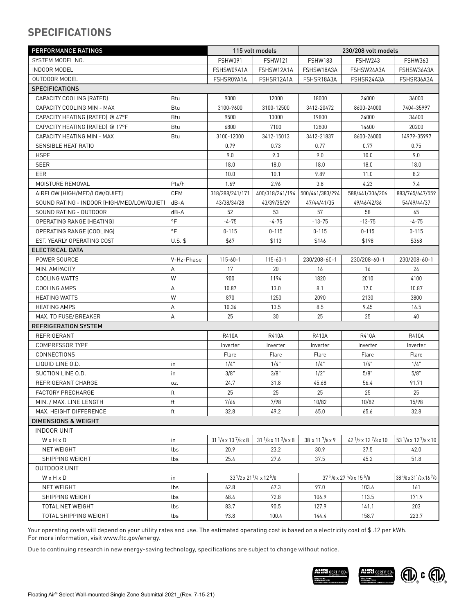# **SPECIFICATIONS**

| PERFORMANCE RATINGS                        |                         | 115 volt models                     |                                            | 230/208 volt models           |                                                |                                                              |
|--------------------------------------------|-------------------------|-------------------------------------|--------------------------------------------|-------------------------------|------------------------------------------------|--------------------------------------------------------------|
| SYSTEM MODEL NO.                           |                         | FSHW091                             | <b>FSHW121</b>                             | <b>FSHW183</b>                | FSHW243                                        | <b>FSHW363</b>                                               |
| <b>INDOOR MODEL</b>                        |                         | FSHSW09A1A                          | FSHSW12A1A                                 | FSHSW18A3A                    | FSHSW24A3A                                     | FSHSW36A3A                                                   |
| <b>OUTDOOR MODEL</b>                       |                         | FSHSR09A1A                          | FSHSR12A1A                                 | FSHSR18A3A                    | FSHSR24A3A                                     | FSHSR36A3A                                                   |
| <b>SPECIFICATIONS</b>                      |                         |                                     |                                            |                               |                                                |                                                              |
| CAPACITY COOLING (RATED)                   | Btu                     | 9000                                | 12000                                      | 18000                         | 24000                                          | 36000                                                        |
| CAPACITY COOLING MIN - MAX                 | Btu                     | 3100-9600                           | 3100-12500                                 | 3412-20472                    | 8600-24000                                     | 7404-35997                                                   |
| CAPACITY HEATING (RATED) @ 47°F            | Btu                     | 9500                                | 13000                                      | 19800                         | 24000                                          | 34600                                                        |
| CAPACITY HEATING (RATED) @ 17°F            | Btu                     | 6800                                | 7100                                       | 12800                         | 14600                                          | 20200                                                        |
| CAPACITY HEATING MIN - MAX                 | <b>Btu</b>              | 3100-12000                          | 3412-15013                                 | 3412-21837                    | 8600-26000                                     | 14979-35997                                                  |
| SENSIBLE HEAT RATIO                        |                         | 0.79                                | 0.73                                       | 0.77                          | 0.77                                           | 0.75                                                         |
| <b>HSPF</b>                                |                         | 9.0                                 | 9.0                                        | 9.0                           | 10.0                                           | 9.0                                                          |
| SEER                                       |                         | 18.0                                | 18.0                                       | 18.0                          | 18.0                                           | 18.0                                                         |
| EER                                        |                         | 10.0                                | 10.1                                       | 9.89                          | 11.0                                           | 8.2                                                          |
| MOISTURE REMOVAL                           | Pts/h                   | 1.69                                | 2.96                                       | 3.8                           | 4.23                                           | 7.4                                                          |
| AIRFLOW (HIGH/MED/LOW/QUIET)               | <b>CFM</b>              | 318/288/241/171                     | 400/318/241/194                            | 500/441/383/294               | 588/441/306/206                                | 883/765/647/559                                              |
| SOUND RATING - INDOOR (HIGH/MED/LOW/QUIET) | $dB - A$                | 43/38/34/28                         | 43/39/35/29                                | 47/44/41/35                   | 49/46/42/36                                    | 54/49/44/37                                                  |
| SOUND RATING - OUTDOOR                     | $dB - A$                | 52                                  | 53                                         | 57                            | 58                                             | 65                                                           |
| OPERATING RANGE (HEATING)                  | $\circ$ F               | $-4-75$                             | -4-75                                      | $-13-75$                      | $-13-75$                                       | $-4 - 75$                                                    |
| OPERATING RANGE (COOLING)                  | $\circ$ F               | $0 - 115$                           | $0 - 115$                                  | $0 - 115$                     | $0 - 115$                                      | $0 - 115$                                                    |
| EST. YEARLY OPERATING COST                 | $U.S.$ \$               | \$67                                | \$113                                      | \$146                         | \$198                                          | \$368                                                        |
| ELECTRICAL DATA                            |                         |                                     |                                            |                               |                                                |                                                              |
| POWER SOURCE                               | V-Hz-Phase              | $115 - 60 - 1$                      | $115 - 60 - 1$                             | 230/208-60-1                  | 230/208-60-1                                   | 230/208-60-1                                                 |
| MIN. AMPACITY                              | Α                       | 17                                  | 20                                         | 16                            | 16                                             | 24                                                           |
| <b>COOLING WATTS</b>                       | W                       | 900                                 | 1194                                       | 1820                          | 2010                                           | 4100                                                         |
| COOLING AMPS                               | Α                       | 10.87                               | 13.0                                       | 8.1                           | 17.0                                           | 10.87                                                        |
| <b>HEATING WATTS</b>                       | W                       | 870                                 | 1250                                       | 2090                          | 2130                                           | 3800                                                         |
| <b>HEATING AMPS</b>                        | А                       | 10.36                               | 13.5                                       | 8.5                           | 9.45                                           | 16.5                                                         |
| MAX. TD FUSE/BREAKER                       | А                       | 25                                  | 30                                         | 25                            | 25                                             | 40                                                           |
| <b>REFRIGERATION SYSTEM</b>                |                         |                                     |                                            |                               |                                                |                                                              |
| REFRIGERANT                                |                         | R410A                               | R410A                                      | R410A                         | R410A                                          | R410A                                                        |
| <b>COMPRESSOR TYPE</b>                     |                         | Inverter                            | Inverter                                   | Inverter                      | Inverter                                       | Inverter                                                     |
| CONNECTIONS                                |                         | Flare                               | Flare                                      | Flare                         | Flare                                          | Flare                                                        |
| LIQUID LINE 0.D.                           | in                      | 1/4"                                | 1/4"                                       | 1/4"                          | 1/4"                                           | 1/4"                                                         |
| SUCTION LINE O.D.                          | in                      | 3/8"                                | 3/8"                                       | $1/2$ "                       | 5/8"                                           | 5/8"                                                         |
| REFRIGERANT CHARGE                         | OZ.                     | 24.7                                | 31.8                                       | 45.68                         | 56.4                                           | 91.71                                                        |
| FACTORY PRECHARGE                          | $\operatorname{\sf ft}$ | 25                                  | 25                                         | 25                            | 25                                             | 25                                                           |
| MIN. / MAX. LINE LENGTH                    | ft                      | 7/66                                | 7/98                                       | 10/82                         | 10/82                                          | 15/98                                                        |
| MAX. HEIGHT DIFFERENCE                     | ft                      | 32.8                                | 49.2                                       | 65.0                          | 65.6                                           | 32.8                                                         |
| <b>DIMENSIONS &amp; WEIGHT</b>             |                         |                                     |                                            |                               |                                                |                                                              |
| <b>INDOOR UNIT</b>                         |                         |                                     |                                            |                               |                                                |                                                              |
| WxHxD                                      | in                      | $31^{1}/8 \times 10^{7}/8 \times 8$ | $31^{1}/8 \times 11^{3}/8 \times 8$        | $38 \times 11^{7}/8 \times 9$ | $42\frac{1}{2} \times 12\frac{7}{8} \times 10$ | 53 $1/8 \times 12^{7}/8 \times 10$                           |
| NET WEIGHT                                 | lbs                     | 20.9                                | 23.2                                       | 30.9                          | 37.5                                           | 42.0                                                         |
| SHIPPING WEIGHT                            | lbs                     | 25.4                                | 27.6                                       | 37.5                          | 45.2                                           | 51.8                                                         |
| OUTDOOR UNIT                               |                         |                                     |                                            |                               |                                                |                                                              |
| WxHxD                                      | in                      |                                     | $33^{1}/2 \times 21^{1}/4 \times 12^{5}/8$ |                               | 37 5/8 x 27 5/8 x 15 5/8                       | 38 <sup>5</sup> /8 x 31 <sup>1</sup> /8 x 16 <sup>7</sup> /8 |
| NET WEIGHT                                 | lbs                     | 62.8                                | 67.3                                       | 97.0                          | 103.6                                          | 161                                                          |
| SHIPPING WEIGHT                            | lbs                     | 68.4                                | 72.8                                       | 106.9                         | 113.5                                          | 171.9                                                        |
| TOTAL NET WEIGHT                           | lbs                     | 83.7                                | 90.5                                       | 127.9                         | 141.1                                          | 203                                                          |
| TOTAL SHIPPING WEIGHT                      | lbs                     | 93.8                                | 100.4                                      | 144.4                         | 158.7                                          | 223.7                                                        |

Your operating costs will depend on your utility rates and use. The estimated operating cost is based on a electricity cost of \$ .12 per kWh. For more information, visit www.ftc.gov/energy.

Due to continuing research in new energy-saving technology, specifications are subject to change without notice.

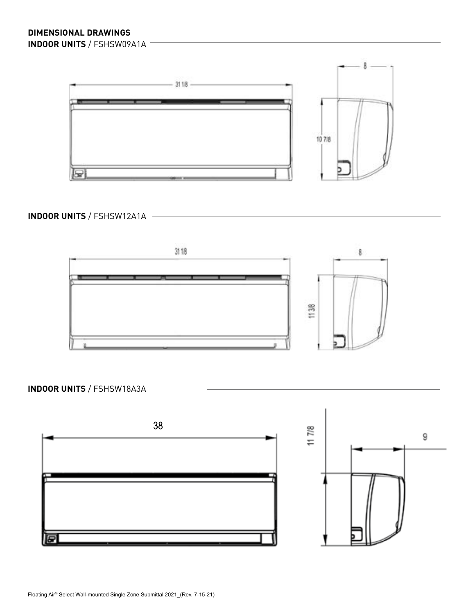

**INDOOR UNITS** / FSHSW12A1A



**INDOOR UNITS** / FSHSW18A3A

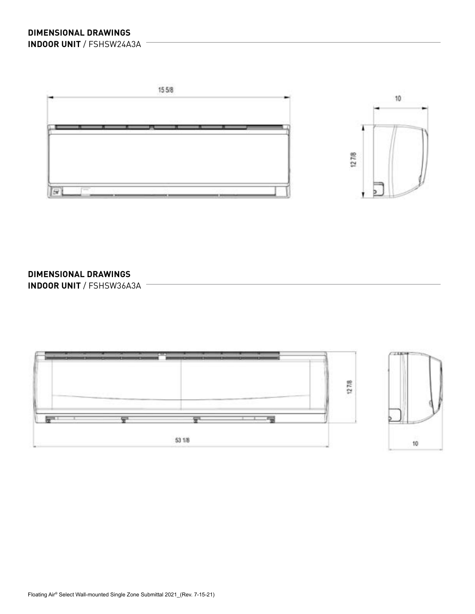



### **DIMENSIONAL DRAWINGS**

**INDOOR UNIT** / FSHSW36A3A

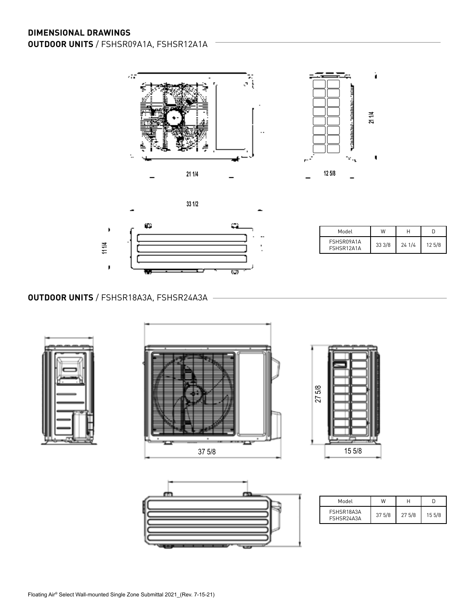



| Model                    | W     | Н     |       |
|--------------------------|-------|-------|-------|
| FSHSR09A1A<br>FSHSR12A1A | 333/8 | 241/4 | 125/8 |

ì

ţ

### **OUTDOOR UNITS** / FSHSR18A3A, FSHSR24A3A









| Model                    | W      |        |        |
|--------------------------|--------|--------|--------|
| FSHSR18A3A<br>FSHSR24A3A | 37 5/8 | 27 5/8 | 15 5/8 |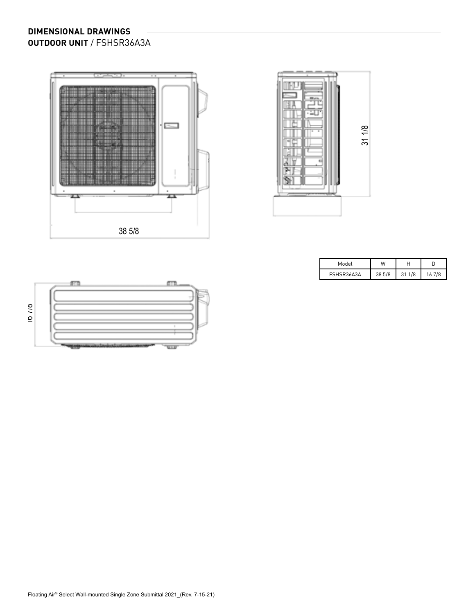### **DIMENSIONAL DRAWINGS OUTDOOR UNIT** / FSHSR36A3A





| Model      | w      |           |     |
|------------|--------|-----------|-----|
| FSHSR36A3A | 38 5/8 | 1/8<br>31 | 7/8 |